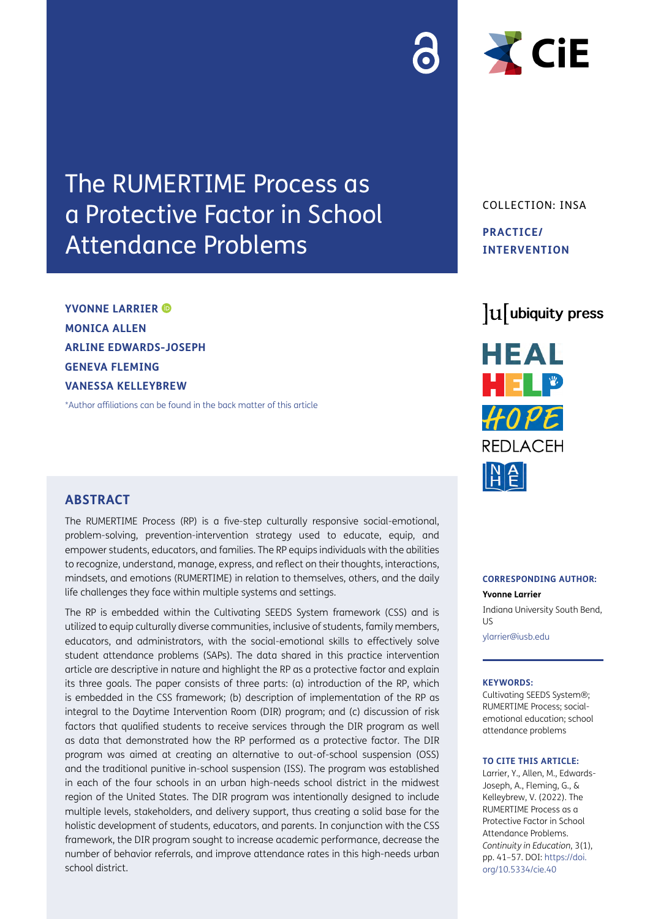# The RUMERTIME Process as a Protective Factor in School Attendance Problems

**YVONNE LARRIER MONICA ALLEN ARLINE EDWARDS-JOSEPH GENEVA FLEMING VANESSA KELLEYBREW**

[\\*Author affiliations can be found in the back matter of this article](#page-14-0)

## **ABSTRACT**

The RUMERTIME Process (RP) is a five-step culturally responsive social-emotional, problem-solving, prevention-intervention strategy used to educate, equip, and empower students, educators, and families. The RP equips individuals with the abilities to recognize, understand, manage, express, and reflect on their thoughts, interactions, mindsets, and emotions (RUMERTIME) in relation to themselves, others, and the daily life challenges they face within multiple systems and settings.

The RP is embedded within the Cultivating SEEDS System framework (CSS) and is utilized to equip culturally diverse communities, inclusive of students, family members, educators, and administrators, with the social-emotional skills to effectively solve student attendance problems (SAPs). The data shared in this practice intervention article are descriptive in nature and highlight the RP as a protective factor and explain its three goals. The paper consists of three parts: (a) introduction of the RP, which is embedded in the CSS framework; (b) description of implementation of the RP as integral to the Daytime Intervention Room (DIR) program; and (c) discussion of risk factors that qualified students to receive services through the DIR program as well as data that demonstrated how the RP performed as a protective factor. The DIR program was aimed at creating an alternative to out-of-school suspension (OSS) and the traditional punitive in-school suspension (ISS). The program was established in each of the four schools in an urban high-needs school district in the midwest region of the United States. The DIR program was intentionally designed to include multiple levels, stakeholders, and delivery support, thus creating a solid base for the holistic development of students, educators, and parents. In conjunction with the CSS framework, the DIR program sought to increase academic performance, decrease the number of behavior referrals, and improve attendance rates in this high-needs urban school district.



COLLECTION: INSA **PRACTICE/ INTERVENTION**

## lu ubiquity press



#### **CORRESPONDING AUTHOR:**

#### **Yvonne Larrier**

Indiana University South Bend,  $|I|$ 

[ylarrier@iusb.edu](mailto:ylarrier@iusb.edu)

#### **KEYWORDS:**

Cultivating SEEDS System®; RUMERTIME Process; socialemotional education; school attendance problems

#### **TO CITE THIS ARTICLE:**

Larrier, Y., Allen, M., Edwards-Joseph, A., Fleming, G., & Kelleybrew, V. (2022). The RUMERTIME Process as a Protective Factor in School Attendance Problems. *Continuity in Education*, 3(1), pp. 41–57. DOI: [https://doi.](https://doi.org/10.5334/cie.40) [org/10.5334/cie.40](https://doi.org/10.5334/cie.40)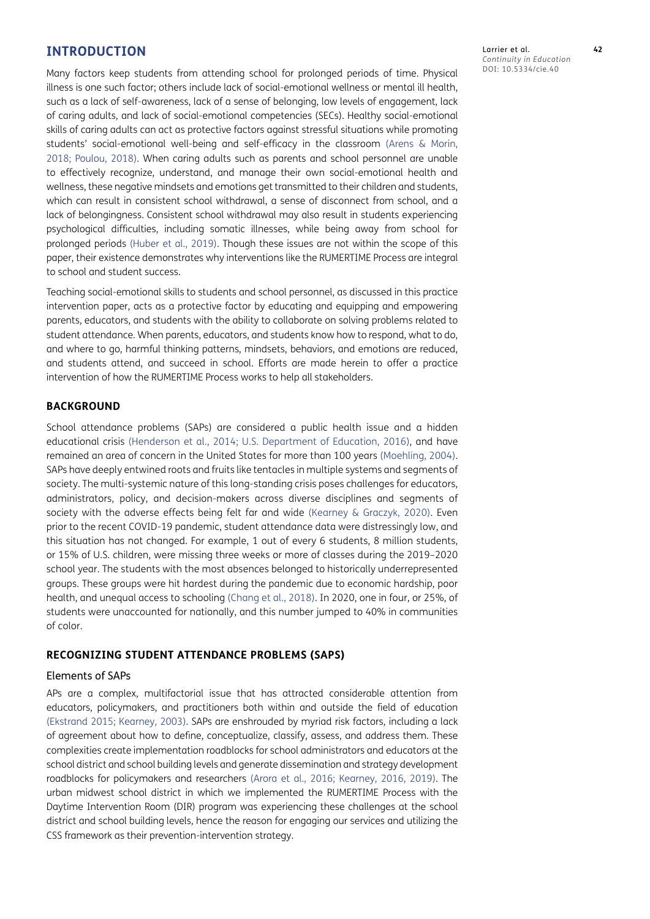## **INTRODUCTION**

Many factors keep students from attending school for prolonged periods of time. Physical illness is one such factor; others include lack of social-emotional wellness or mental ill health, such as a lack of self-awareness, lack of a sense of belonging, low levels of engagement, lack of caring adults, and lack of social-emotional competencies (SECs). Healthy social-emotional skills of caring adults can act as protective factors against stressful situations while promoting students' social-emotional well-being and self-efficacy in the classroom (Arens & Morin, 2018; [Poulou, 2018](#page-16-0)). When caring adults such as parents and school personnel are unable to effectively recognize, understand, and manage their own social-emotional health and wellness, these negative mindsets and emotions get transmitted to their children and students, which can result in consistent school withdrawal, a sense of disconnect from school, and a lack of belongingness. Consistent school withdrawal may also result in students experiencing psychological difficulties, including somatic illnesses, while being away from school for prolonged periods (Huber et al., 2019). Though these issues are not within the scope of this paper, their existence demonstrates why interventions like the RUMERTIME Process are integral to school and student success.

Teaching social-emotional skills to students and school personnel, as discussed in this practice intervention paper, acts as a protective factor by educating and equipping and empowering parents, educators, and students with the ability to collaborate on solving problems related to student attendance. When parents, educators, and students know how to respond, what to do, and where to go, harmful thinking patterns, mindsets, behaviors, and emotions are reduced, and students attend, and succeed in school. Efforts are made herein to offer a practice intervention of how the RUMERTIME Process works to help all stakeholders.

#### **BACKGROUND**

School attendance problems (SAPs) are considered a public health issue and a hidden educational crisis ([Henderson et al., 2014](#page-15-0); [U.S. Department of Education, 2016](#page-16-1)), and have remained an area of concern in the United States for more than 100 years [\(Moehling, 2004](#page-16-2)). SAPs have deeply entwined roots and fruits like tentacles in multiple systems and segments of society. The multi-systemic nature of this long-standing crisis poses challenges for educators, administrators, policy, and decision-makers across diverse disciplines and segments of society with the adverse effects being felt far and wide ([Kearney & Graczyk, 2020](#page-15-1)). Even prior to the recent COVID-19 pandemic, student attendance data were distressingly low, and this situation has not changed. For example, 1 out of every 6 students, 8 million students, or 15% of U.S. children, were missing three weeks or more of classes during the 2019–2020 school year. The students with the most absences belonged to historically underrepresented groups. These groups were hit hardest during the pandemic due to economic hardship, poor health, and unequal access to schooling ([Chang et al., 2018\)](#page-15-2). In 2020, one in four, or 25%, of students were unaccounted for nationally, and this number jumped to 40% in communities of color.

#### **RECOGNIZING STUDENT ATTENDANCE PROBLEMS (SAPS)**

#### Elements of SAPs

APs are a complex, multifactorial issue that has attracted considerable attention from educators, policymakers, and practitioners both within and outside the field of education [\(Ekstrand 2015;](#page-15-3) [Kearney, 2003](#page-15-4)). SAPs are enshrouded by myriad risk factors, including a lack of agreement about how to define, conceptualize, classify, assess, and address them. These complexities create implementation roadblocks for school administrators and educators at the school district and school building levels and generate dissemination and strategy development roadblocks for policymakers and researchers [\(Arora et al., 2016;](#page-14-1) [Kearney, 2016,](#page-15-5) [2019](#page-15-6)). The urban midwest school district in which we implemented the RUMERTIME Process with the Daytime Intervention Room (DIR) program was experiencing these challenges at the school district and school building levels, hence the reason for engaging our services and utilizing the CSS framework as their prevention-intervention strategy.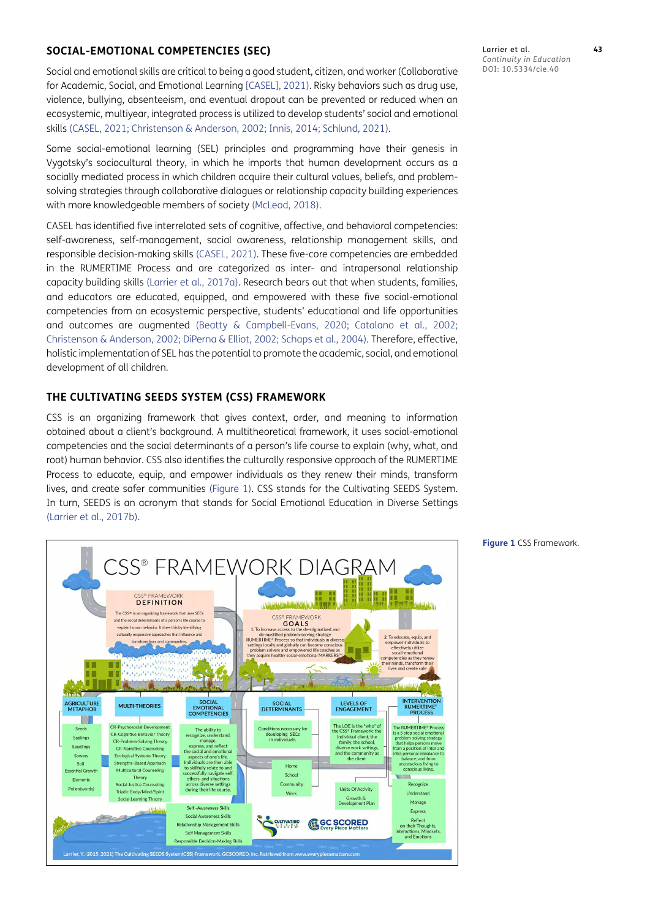## **SOCIAL-EMOTIONAL COMPETENCIES (SEC)**

Social and emotional skills are critical to being a good student, citizen, and worker (Collaborative for Academic, Social, and Emotional Learning [[CASEL\], 2021](#page-15-7)). Risky behaviors such as drug use, violence, bullying, absenteeism, and eventual dropout can be prevented or reduced when an ecosystemic, multiyear, integrated process is utilized to develop students' social and emotional skills ([CASEL, 2021](#page-15-7); [Christenson & Anderson, 2002](#page-15-8); Innis, 2014; [Schlund, 2021\)](#page-16-3).

Some social-emotional learning (SEL) principles and programming have their genesis in Vygotsky's sociocultural theory, in which he imports that human development occurs as a socially mediated process in which children acquire their cultural values, beliefs, and problemsolving strategies through collaborative dialogues or relationship capacity building experiences with more knowledgeable members of society ([McLeod, 2018](#page-16-4)).

CASEL has identified five interrelated sets of cognitive, affective, and behavioral competencies: self-awareness, self-management, social awareness, relationship management skills, and responsible decision-making skills [\(CASEL, 2021](#page-15-7)). These five-core competencies are embedded in the RUMERTIME Process and are categorized as inter- and intrapersonal relationship capacity building skills [\(Larrier et al., 2017a](#page-15-9)). Research bears out that when students, families, and educators are educated, equipped, and empowered with these five social-emotional competencies from an ecosystemic perspective, students' educational and life opportunities and outcomes are augmented [\(Beatty & Campbell-Evans, 2020;](#page-14-2) [Catalano et al., 2002](#page-15-10); [Christenson & Anderson, 2002;](#page-15-8) [DiPerna & Elliot, 2002;](#page-15-11) [Schaps et al., 2004\)](#page-16-5). Therefore, effective, holistic implementation of SEL has the potential to promote the academic, social, and emotional development of all children.

#### **THE CULTIVATING SEEDS SYSTEM (CSS) FRAMEWORK**

CSS is an organizing framework that gives context, order, and meaning to information obtained about a client's background. A multitheoretical framework, it uses social-emotional competencies and the social determinants of a person's life course to explain (why, what, and root) human behavior. CSS also identifies the culturally responsive approach of the RUMERTIME Process to educate, equip, and empower individuals as they renew their minds, transform lives, and create safer communities ([Figure 1](#page-2-0)). CSS stands for the Cultivating SEEDS System. In turn, SEEDS is an acronym that stands for Social Emotional Education in Diverse Settings [\(Larrier et al., 2017b](#page-15-12)).



Larrier et al. **43** *Continuity in Education* DOI: 10.5334/cie.40

<span id="page-2-0"></span>**Figure 1** CSS Framework.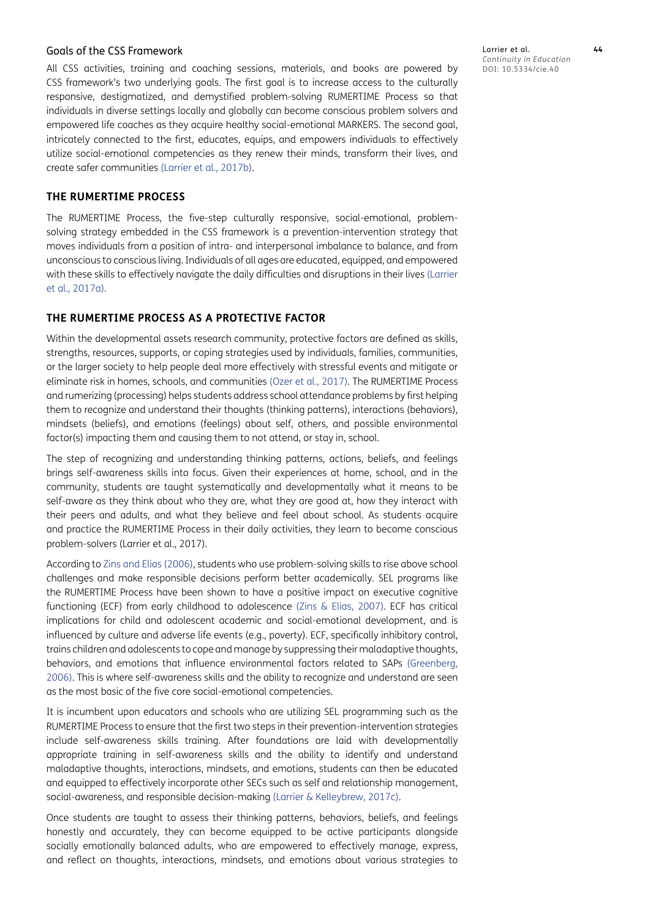#### Goals of the CSS Framework

All CSS activities, training and coaching sessions, materials, and books are powered by CSS framework's two underlying goals. The first goal is to increase access to the culturally responsive, destigmatized, and demystified problem-solving RUMERTIME Process so that individuals in diverse settings locally and globally can become conscious problem solvers and empowered life coaches as they acquire healthy social-emotional MARKERS. The second goal, intricately connected to the first, educates, equips, and empowers individuals to effectively utilize social-emotional competencies as they renew their minds, transform their lives, and create safer communities [\(Larrier et al., 2017b\)](#page-15-12).

## **THE RUMERTIME PROCESS**

The RUMERTIME Process, the five-step culturally responsive, social-emotional, problemsolving strategy embedded in the CSS framework is a prevention-intervention strategy that moves individuals from a position of intra- and interpersonal imbalance to balance, and from unconscious to conscious living. Individuals of all ages are educated, equipped, and empowered with these skills to effectively navigate the daily difficulties and disruptions in their lives [\(Larrier](#page-15-9)  [et al., 2017a\)](#page-15-9).

## **THE RUMERTIME PROCESS AS A PROTECTIVE FACTOR**

Within the developmental assets research community, protective factors are defined as skills, strengths, resources, supports, or coping strategies used by individuals, families, communities, or the larger society to help people deal more effectively with stressful events and mitigate or eliminate risk in homes, schools, and communities ([Ozer et al., 2017](#page-16-6)). The RUMERTIME Process and rumerizing (processing) helps students address school attendance problems by first helping them to recognize and understand their thoughts (thinking patterns), interactions (behaviors), mindsets (beliefs), and emotions (feelings) about self, others, and possible environmental factor(s) impacting them and causing them to not attend, or stay in, school.

The step of recognizing and understanding thinking patterns, actions, beliefs, and feelings brings self-awareness skills into focus. Given their experiences at home, school, and in the community, students are taught systematically and developmentally what it means to be self-aware as they think about who they are, what they are good at, how they interact with their peers and adults, and what they believe and feel about school. As students acquire and practice the RUMERTIME Process in their daily activities, they learn to become conscious problem-solvers (Larrier et al., 2017).

According to [Zins and Elias \(2006\),](#page-16-7) students who use problem-solving skills to rise above school challenges and make responsible decisions perform better academically. SEL programs like the RUMERTIME Process have been shown to have a positive impact on executive cognitive functioning (ECF) from early childhood to adolescence [\(Zins & Elias, 2007\)](#page-16-8). ECF has critical implications for child and adolescent academic and social-emotional development, and is influenced by culture and adverse life events (e.g., poverty). ECF, specifically inhibitory control, trains children and adolescents to cope and manage by suppressing their maladaptive thoughts, behaviors, and emotions that influence environmental factors related to SAPs ([Greenberg,](#page-15-13)  [2006](#page-15-13)). This is where self-awareness skills and the ability to recognize and understand are seen as the most basic of the five core social-emotional competencies.

It is incumbent upon educators and schools who are utilizing SEL programming such as the RUMERTIME Process to ensure that the first two steps in their prevention-intervention strategies include self-awareness skills training. After foundations are laid with developmentally appropriate training in self-awareness skills and the ability to identify and understand maladaptive thoughts, interactions, mindsets, and emotions, students can then be educated and equipped to effectively incorporate other SECs such as self and relationship management, social-awareness, and responsible decision-making ([Larrier & Kelleybrew, 2017c](#page-15-14)).

Once students are taught to assess their thinking patterns, behaviors, beliefs, and feelings honestly and accurately, they can become equipped to be active participants alongside socially emotionally balanced adults, who are empowered to effectively manage, express, and reflect on thoughts, interactions, mindsets, and emotions about various strategies to Larrier et al. **44** *Continuity in Education* DOI: 10.5334/cie.40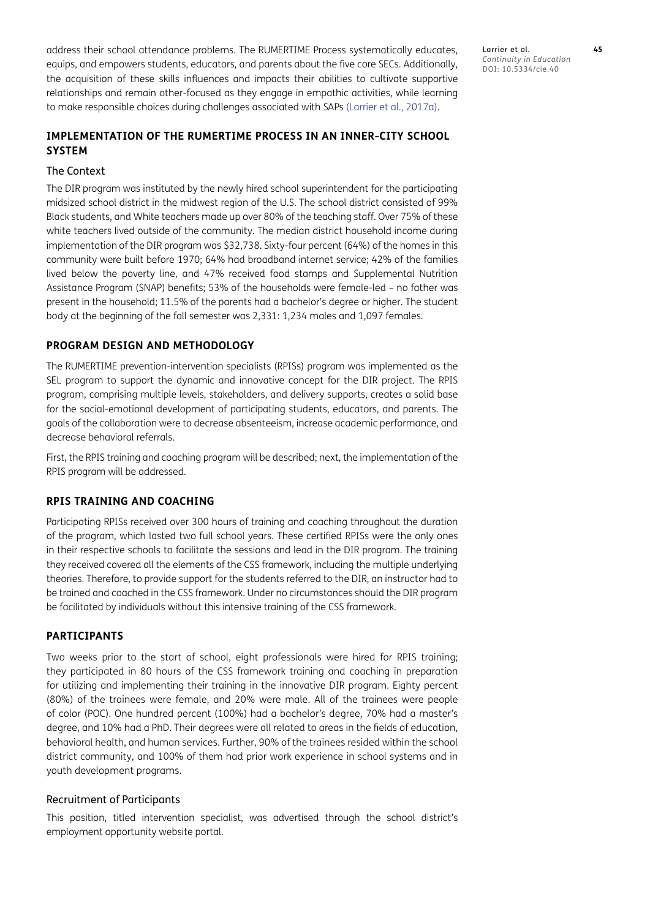address their school attendance problems. The RUMERTIME Process systematically educates, equips, and empowers students, educators, and parents about the five core SECs. Additionally, the acquisition of these skills influences and impacts their abilities to cultivate supportive relationships and remain other-focused as they engage in empathic activities, while learning to make responsible choices during challenges associated with SAPs [\(Larrier et al., 2017a\)](#page-15-9).

## **IMPLEMENTATION OF THE RUMERTIME PROCESS IN AN INNER-CITY SCHOOL SYSTEM**

#### The Context

The DIR program was instituted by the newly hired school superintendent for the participating midsized school district in the midwest region of the U.S. The school district consisted of 99% Black students, and White teachers made up over 80% of the teaching staff. Over 75% of these white teachers lived outside of the community. The median district household income during implementation of the DIR program was \$32,738. Sixty-four percent (64%) of the homes in this community were built before 1970; 64% had broadband internet service; 42% of the families lived below the poverty line, and 47% received food stamps and Supplemental Nutrition Assistance Program (SNAP) benefits; 53% of the households were female-led – no father was present in the household; 11.5% of the parents had a bachelor's degree or higher. The student body at the beginning of the fall semester was 2,331: 1,234 males and 1,097 females.

#### **PROGRAM DESIGN AND METHODOLOGY**

The RUMERTIME prevention-intervention specialists (RPISs) program was implemented as the SEL program to support the dynamic and innovative concept for the DIR project. The RPIS program, comprising multiple levels, stakeholders, and delivery supports, creates a solid base for the social-emotional development of participating students, educators, and parents. The goals of the collaboration were to decrease absenteeism, increase academic performance, and decrease behavioral referrals.

First, the RPIS training and coaching program will be described; next, the implementation of the RPIS program will be addressed.

#### **RPIS TRAINING AND COACHING**

Participating RPISs received over 300 hours of training and coaching throughout the duration of the program, which lasted two full school years. These certified RPISs were the only ones in their respective schools to facilitate the sessions and lead in the DIR program. The training they received covered all the elements of the CSS framework, including the multiple underlying theories. Therefore, to provide support for the students referred to the DIR, an instructor had to be trained and coached in the CSS framework. Under no circumstances should the DIR program be facilitated by individuals without this intensive training of the CSS framework.

#### **PARTICIPANTS**

Two weeks prior to the start of school, eight professionals were hired for RPIS training; they participated in 80 hours of the CSS framework training and coaching in preparation for utilizing and implementing their training in the innovative DIR program. Eighty percent (80%) of the trainees were female, and 20% were male. All of the trainees were people of color (POC). One hundred percent (100%) had a bachelor's degree, 70% had a master's degree, and 10% had a PhD. Their degrees were all related to areas in the fields of education, behavioral health, and human services. Further, 90% of the trainees resided within the school district community, and 100% of them had prior work experience in school systems and in youth development programs.

#### Recruitment of Participants

This position, titled intervention specialist, was advertised through the school district's employment opportunity website portal.

Larrier et al. **45** *Continuity in Education* DOI: 10.5334/cie.40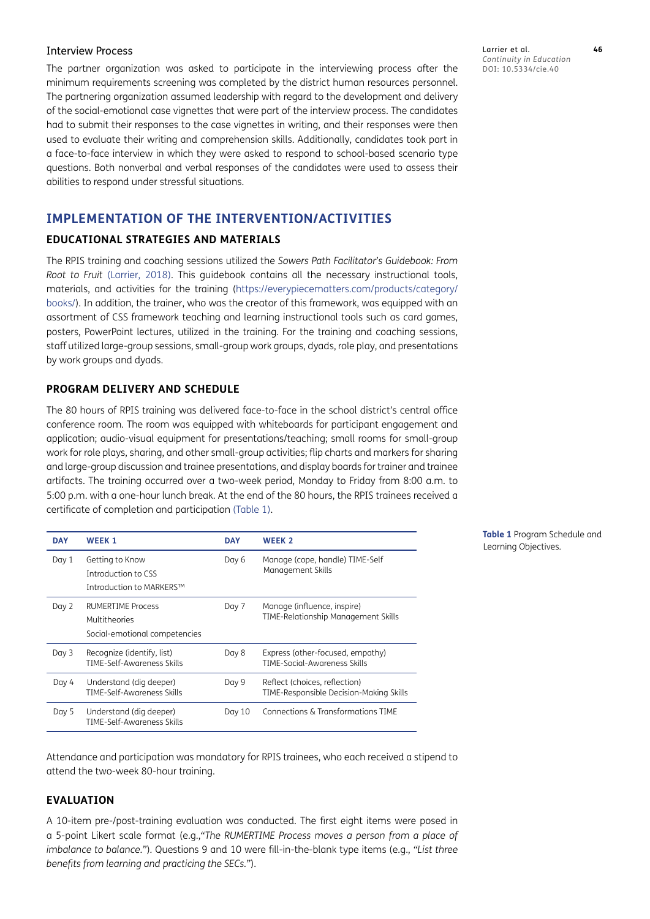#### Interview Process

The partner organization was asked to participate in the interviewing process after the minimum requirements screening was completed by the district human resources personnel. The partnering organization assumed leadership with regard to the development and delivery of the social-emotional case vignettes that were part of the interview process. The candidates had to submit their responses to the case vignettes in writing, and their responses were then used to evaluate their writing and comprehension skills. Additionally, candidates took part in a face-to-face interview in which they were asked to respond to school-based scenario type questions. Both nonverbal and verbal responses of the candidates were used to assess their abilities to respond under stressful situations.

## **IMPLEMENTATION OF THE INTERVENTION/ACTIVITIES**

#### **EDUCATIONAL STRATEGIES AND MATERIALS**

The RPIS training and coaching sessions utilized the *Sowers Path Facilitator's Guidebook: From Root to Fruit* [\(Larrier, 2018\)](#page-15-15). This guidebook contains all the necessary instructional tools, materials, and activities for the training [\(https://everypiecematters.com/products/category/](https://everypiecematters.com/products/category/books/) [books/](https://everypiecematters.com/products/category/books/)). In addition, the trainer, who was the creator of this framework, was equipped with an assortment of CSS framework teaching and learning instructional tools such as card games, posters, PowerPoint lectures, utilized in the training. For the training and coaching sessions, staff utilized large-group sessions, small-group work groups, dyads, role play, and presentations by work groups and dyads.

#### **PROGRAM DELIVERY AND SCHEDULE**

The 80 hours of RPIS training was delivered face-to-face in the school district's central office conference room. The room was equipped with whiteboards for participant engagement and application; audio-visual equipment for presentations/teaching; small rooms for small-group work for role plays, sharing, and other small-group activities; flip charts and markers for sharing and large-group discussion and trainee presentations, and display boards for trainer and trainee artifacts. The training occurred over a two-week period, Monday to Friday from 8:00 a.m. to 5:00 p.m. with a one-hour lunch break. At the end of the 80 hours, the RPIS trainees received a certificate of completion and participation [\(Table 1\)](#page-5-0).

| <b>DAY</b> | <b>WEEK1</b>                                                               | <b>DAY</b> | <b>WEEK 2</b>                                                            |
|------------|----------------------------------------------------------------------------|------------|--------------------------------------------------------------------------|
| Day 1      | Getting to Know<br>Introduction to CSS<br>Introduction to MARKERS™         | Day 6      | Manage (cope, handle) TIME-Self<br>Management Skills                     |
| Day 2      | <b>RUMERTIME Process</b><br>Multitheories<br>Social-emotional competencies | Day 7      | Manage (influence, inspire)<br>TIME-Relationship Management Skills       |
| Day 3      | Recognize (identify, list)<br>TIME-Self-Awareness Skills                   | Day 8      | Express (other-focused, empathy)<br>TIME-Social-Awareness Skills         |
| Day 4      | Understand (dig deeper)<br>TIME-Self-Awareness Skills                      | Day 9      | Reflect (choices, reflection)<br>TIME-Responsible Decision-Making Skills |
| Day 5      | Understand (dig deeper)<br>TIME-Self-Awareness Skills                      | Day $10$   | Connections & Transformations TIME                                       |

<span id="page-5-0"></span>**Table 1** Program Schedule and Learning Objectives.

Attendance and participation was mandatory for RPIS trainees, who each received a stipend to attend the two-week 80-hour training.

#### **EVALUATION**

A 10-item pre-/post-training evaluation was conducted. The first eight items were posed in a 5-point Likert scale format (e.g.,*"The RUMERTIME Process moves a person from a place of imbalance to balance."*)*.* Questions 9 and 10 were fill-in-the-blank type items (e.g., *"List three benefits from learning and practicing the SECs."*).

Larrier et al. **46** *Continuity in Education* DOI: 10.5334/cie.40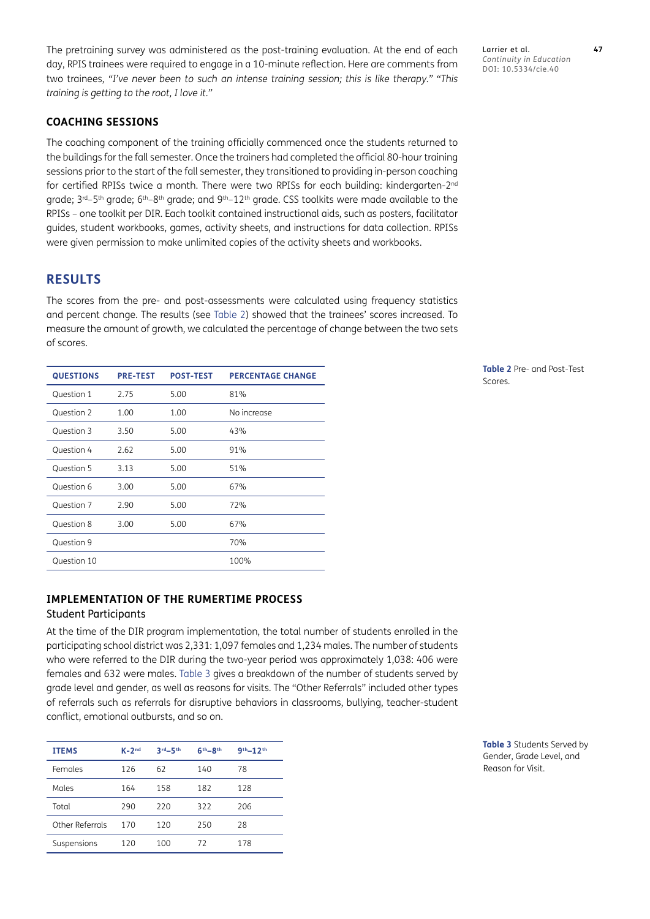The pretraining survey was administered as the post-training evaluation. At the end of each day, RPIS trainees were required to engage in a 10-minute reflection. Here are comments from two trainees, *"I've never been to such an intense training session; this is like therapy." "This training is getting to the root, I love it."*

## **COACHING SESSIONS**

The coaching component of the training officially commenced once the students returned to the buildings for the fall semester. Once the trainers had completed the official 80-hour training sessions prior to the start of the fall semester, they transitioned to providing in-person coaching for certified RPISs twice a month. There were two RPISs for each building: kindergarten-2<sup>nd</sup> grade;  $3^{rd}-5^{th}$  grade;  $6^{th}-8^{th}$  grade; and  $9^{th}-12^{th}$  grade. CSS toolkits were made available to the RPISs – one toolkit per DIR. Each toolkit contained instructional aids, such as posters, facilitator guides, student workbooks, games, activity sheets, and instructions for data collection. RPISs were given permission to make unlimited copies of the activity sheets and workbooks.

## **RESULTS**

The scores from the pre- and post-assessments were calculated using frequency statistics and percent change. The results (see [Table 2](#page-6-0)) showed that the trainees' scores increased. To measure the amount of growth, we calculated the percentage of change between the two sets of scores.

| <b>QUESTIONS</b> | <b>PRE-TEST</b> | <b>POST-TEST</b> | <b>PERCENTAGE CHANGE</b> |
|------------------|-----------------|------------------|--------------------------|
| Question 1       | 2.75            | 5.00             | 81%                      |
| Question 2       | 1.00            | 1.00             | No increase              |
| Question 3       | 3.50            | 5.00             | 43%                      |
| Question 4       | 2.62            | 5.00             | 91%                      |
| Question 5       | 3.13            | 5.00             | 51%                      |
| Question 6       | 3.00            | 5.00             | 67%                      |
| Question 7       | 2.90            | 5.00             | 72%                      |
| Question 8       | 3.00            | 5.00             | 67%                      |
| Question 9       |                 |                  | 70%                      |
| Question 10      |                 |                  | 100%                     |

## **IMPLEMENTATION OF THE RUMERTIME PROCESS**

## Student Participants

At the time of the DIR program implementation, the total number of students enrolled in the participating school district was 2,331: 1,097 females and 1,234 males. The number of students who were referred to the DIR during the two-year period was approximately 1,038: 406 were females and 632 were males. [Table 3](#page-6-1) gives a breakdown of the number of students served by grade level and gender, as well as reasons for visits. The "Other Referrals" included other types of referrals such as referrals for disruptive behaviors in classrooms, bullying, teacher-student conflict, emotional outbursts, and so on.

| <b>ITEMS</b>    | $K-2^{nd}$ | $3rd - 5th$ | $6th-8th$ | $9th - 12th$ |
|-----------------|------------|-------------|-----------|--------------|
| Females         | 126        | 62          | 140       | 78           |
| Males           | 164        | 158         | 182       | 128          |
| Total           | 290        | 220         | 322       | 206          |
| Other Referrals | 170        | 120         | 250       | 28           |
| Suspensions     | 120        | 100         | 72        | 178          |

Larrier et al. **47** *Continuity in Education* DOI: 10.5334/cie.40

<span id="page-6-0"></span>**Table 2** Pre- and Post-Test Scores.

<span id="page-6-1"></span>**Table 3** Students Served by Gender, Grade Level, and Reason for Visit.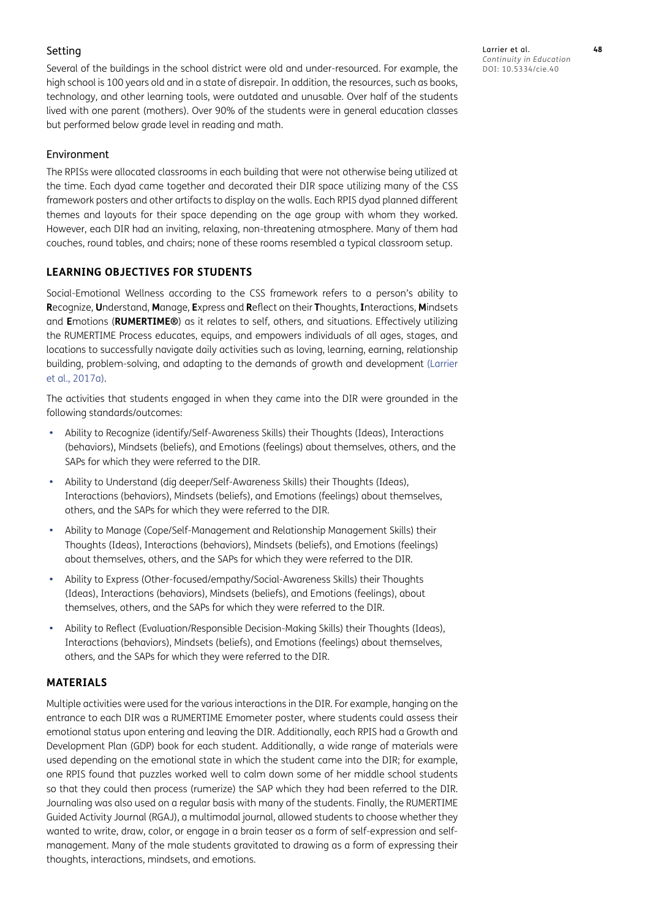## Setting

Several of the buildings in the school district were old and under-resourced. For example, the high school is 100 years old and in a state of disrepair. In addition, the resources, such as books, technology, and other learning tools, were outdated and unusable. Over half of the students lived with one parent (mothers). Over 90% of the students were in general education classes but performed below grade level in reading and math.

## Environment

The RPISs were allocated classrooms in each building that were not otherwise being utilized at the time. Each dyad came together and decorated their DIR space utilizing many of the CSS framework posters and other artifacts to display on the walls. Each RPIS dyad planned different themes and layouts for their space depending on the age group with whom they worked. However, each DIR had an inviting, relaxing, non-threatening atmosphere. Many of them had couches, round tables, and chairs; none of these rooms resembled a typical classroom setup.

## **LEARNING OBJECTIVES FOR STUDENTS**

Social-Emotional Wellness according to the CSS framework refers to a person's ability to **R**ecognize, **U**nderstand, **M**anage, **E**xpress and **R**eflect on their **T**houghts, **I**nteractions, **M**indsets and **E**motions (**RUMERTIME®**) as it relates to self, others, and situations. Effectively utilizing the RUMERTIME Process educates, equips, and empowers individuals of all ages, stages, and locations to successfully navigate daily activities such as loving, learning, earning, relationship building, problem-solving, and adapting to the demands of growth and development [\(Larrier](#page-15-9)  [et al., 2017a\)](#page-15-9).

The activities that students engaged in when they came into the DIR were grounded in the following standards/outcomes:

- Ability to Recognize (identify/Self-Awareness Skills) their Thoughts (Ideas), Interactions (behaviors), Mindsets (beliefs), and Emotions (feelings) about themselves, others, and the SAPs for which they were referred to the DIR.
- Ability to Understand (dig deeper/Self-Awareness Skills) their Thoughts (Ideas), Interactions (behaviors), Mindsets (beliefs), and Emotions (feelings) about themselves, others, and the SAPs for which they were referred to the DIR.
- Ability to Manage (Cope/Self-Management and Relationship Management Skills) their Thoughts (Ideas), Interactions (behaviors), Mindsets (beliefs), and Emotions (feelings) about themselves, others, and the SAPs for which they were referred to the DIR.
- **•**  Ability to Express (Other-focused/empathy/Social-Awareness Skills) their Thoughts (Ideas), Interactions (behaviors), Mindsets (beliefs), and Emotions (feelings), about themselves, others, and the SAPs for which they were referred to the DIR.
- **•**  Ability to Reflect (Evaluation/Responsible Decision-Making Skills) their Thoughts (Ideas), Interactions (behaviors), Mindsets (beliefs), and Emotions (feelings) about themselves, others, and the SAPs for which they were referred to the DIR.

## **MATERIALS**

Multiple activities were used for the various interactions in the DIR. For example, hanging on the entrance to each DIR was a RUMERTIME Emometer poster, where students could assess their emotional status upon entering and leaving the DIR. Additionally, each RPIS had a Growth and Development Plan (GDP) book for each student. Additionally, a wide range of materials were used depending on the emotional state in which the student came into the DIR; for example, one RPIS found that puzzles worked well to calm down some of her middle school students so that they could then process (rumerize) the SAP which they had been referred to the DIR. Journaling was also used on a regular basis with many of the students. Finally, the RUMERTIME Guided Activity Journal (RGAJ), a multimodal journal, allowed students to choose whether they wanted to write, draw, color, or engage in a brain teaser as a form of self-expression and selfmanagement. Many of the male students gravitated to drawing as a form of expressing their thoughts, interactions, mindsets, and emotions.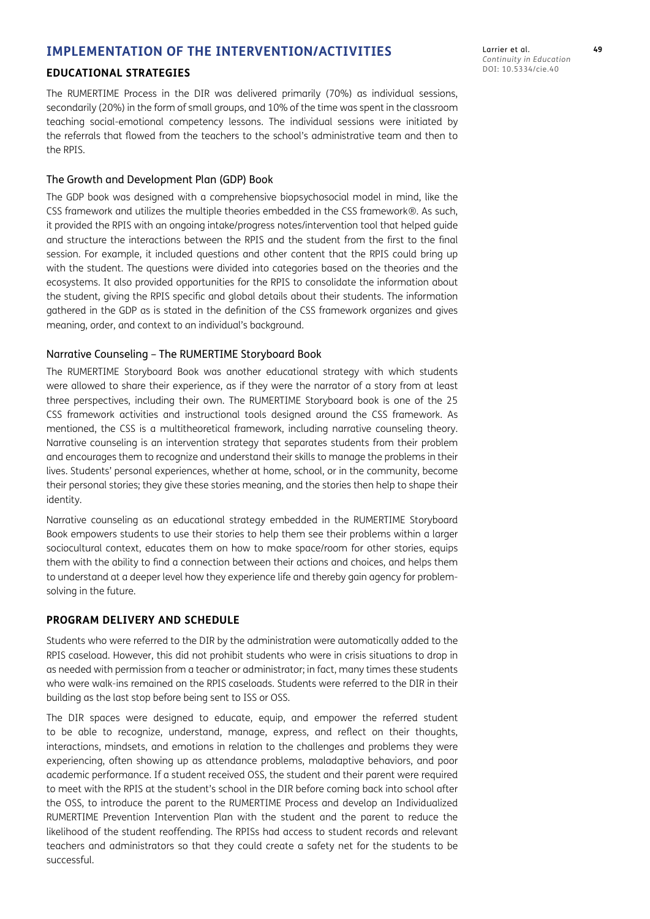## **IMPLEMENTATION OF THE INTERVENTION/ACTIVITIES**

#### **EDUCATIONAL STRATEGIES**

The RUMERTIME Process in the DIR was delivered primarily (70%) as individual sessions, secondarily (20%) in the form of small groups, and 10% of the time was spent in the classroom teaching social-emotional competency lessons. The individual sessions were initiated by the referrals that flowed from the teachers to the school's administrative team and then to the RPIS.

#### The Growth and Development Plan (GDP) Book

The GDP book was designed with a comprehensive biopsychosocial model in mind, like the CSS framework and utilizes the multiple theories embedded in the CSS framework ®. As such, it provided the RPIS with an ongoing intake/progress notes/intervention tool that helped guide and structure the interactions between the RPIS and the student from the first to the final session. For example, it included questions and other content that the RPIS could bring up with the student. The questions were divided into categories based on the theories and the ecosystems. It also provided opportunities for the RPIS to consolidate the information about the student, giving the RPIS specific and global details about their students. The information gathered in the GDP as is stated in the definition of the CSS framework organizes and gives meaning, order, and context to an individual's background.

#### Narrative Counseling – The RUMERTIME Storyboard Book

The RUMERTIME Storyboard Book was another educational strategy with which students were allowed to share their experience, as if they were the narrator of a story from at least three perspectives, including their own. The RUMERTIME Storyboard book is one of the 25 CSS framework activities and instructional tools designed around the CSS framework. As mentioned, the CSS is a multitheoretical framework, including narrative counseling theory. Narrative counseling is an intervention strategy that separates students from their problem and encourages them to recognize and understand their skills to manage the problems in their lives. Students' personal experiences, whether at home, school, or in the community, become their personal stories; they give these stories meaning, and the stories then help to shape their identity.

Narrative counseling as an educational strategy embedded in the RUMERTIME Storyboard Book empowers students to use their stories to help them see their problems within a larger sociocultural context, educates them on how to make space/room for other stories, equips them with the ability to find a connection between their actions and choices, and helps them to understand at a deeper level how they experience life and thereby gain agency for problemsolving in the future.

## **PROGRAM DELIVERY AND SCHEDULE**

Students who were referred to the DIR by the administration were automatically added to the RPIS caseload. However, this did not prohibit students who were in crisis situations to drop in as needed with permission from a teacher or administrator; in fact, many times these students who were walk-ins remained on the RPIS caseloads. Students were referred to the DIR in their building as the last stop before being sent to ISS or OSS.

The DIR spaces were designed to educate, equip, and empower the referred student to be able to recognize, understand, manage, express, and reflect on their thoughts, interactions, mindsets, and emotions in relation to the challenges and problems they were experiencing, often showing up as attendance problems, maladaptive behaviors, and poor academic performance. If a student received OSS, the student and their parent were required to meet with the RPIS at the student's school in the DIR before coming back into school after the OSS, to introduce the parent to the RUMERTIME Process and develop an Individualized RUMERTIME Prevention Intervention Plan with the student and the parent to reduce the likelihood of the student reoffending. The RPISs had access to student records and relevant teachers and administrators so that they could create a safety net for the students to be successful.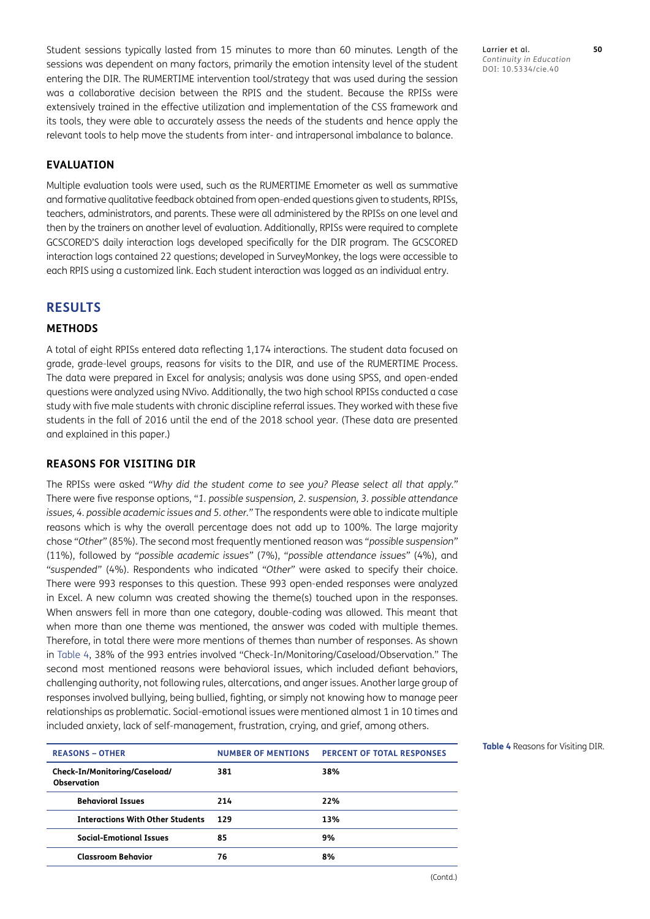Student sessions typically lasted from 15 minutes to more than 60 minutes. Length of the sessions was dependent on many factors, primarily the emotion intensity level of the student entering the DIR. The RUMERTIME intervention tool/strategy that was used during the session was a collaborative decision between the RPIS and the student. Because the RPISs were extensively trained in the effective utilization and implementation of the CSS framework and its tools, they were able to accurately assess the needs of the students and hence apply the relevant tools to help move the students from inter- and intrapersonal imbalance to balance.

## **EVALUATION**

Multiple evaluation tools were used, such as the RUMERTIME Emometer as well as summative and formative qualitative feedback obtained from open-ended questions given to students, RPISs, teachers, administrators, and parents. These were all administered by the RPISs on one level and then by the trainers on another level of evaluation. Additionally, RPISs were required to complete GCSCORED'S daily interaction logs developed specifically for the DIR program. The GCSCORED interaction logs contained 22 questions; developed in SurveyMonkey, the logs were accessible to each RPIS using a customized link. Each student interaction was logged as an individual entry.

## **RESULTS**

#### **METHODS**

A total of eight RPISs entered data reflecting 1,174 interactions. The student data focused on grade, grade-level groups, reasons for visits to the DIR, and use of the RUMERTIME Process. The data were prepared in Excel for analysis; analysis was done using SPSS, and open-ended questions were analyzed using NVivo. Additionally, the two high school RPISs conducted a case study with five male students with chronic discipline referral issues. They worked with these five students in the fall of 2016 until the end of the 2018 school year. (These data are presented and explained in this paper.)

#### **REASONS FOR VISITING DIR**

The RPISs were asked *"Why did the student come to see you? Please select all that apply."* There were five response options, "*1. possible suspension, 2. suspension, 3. possible attendance issues, 4. possible academic issues and 5. other."* The respondents were able to indicate multiple reasons which is why the overall percentage does not add up to 100%. The large majority chose *"Other"* (85%). The second most frequently mentioned reason was *"possible suspension"* (11%), followed by *"possible academic issues"* (7%), *"possible attendance issues"* (4%), and *"suspended"* (4%). Respondents who indicated *"Other"* were asked to specify their choice. There were 993 responses to this question. These 993 open-ended responses were analyzed in Excel. A new column was created showing the theme(s) touched upon in the responses. When answers fell in more than one category, double-coding was allowed. This meant that when more than one theme was mentioned, the answer was coded with multiple themes. Therefore, in total there were more mentions of themes than number of responses. As shown in [Table 4,](#page-9-0) 38% of the 993 entries involved "Check-In/Monitoring/Caseload/Observation." The second most mentioned reasons were behavioral issues, which included defiant behaviors, challenging authority, not following rules, altercations, and anger issues. Another large group of responses involved bullying, being bullied, fighting, or simply not knowing how to manage peer relationships as problematic. Social-emotional issues were mentioned almost 1 in 10 times and included anxiety, lack of self-management, frustration, crying, and grief, among others.

| <b>REASONS - OTHER</b>                              | <b>NUMBER OF MENTIONS</b> | <b>PERCENT OF TOTAL RESPONSES</b> |  |
|-----------------------------------------------------|---------------------------|-----------------------------------|--|
| Check-In/Monitoring/Caseload/<br><b>Observation</b> | 381                       | 38%                               |  |
| <b>Behavioral Issues</b>                            | 214                       | 22%                               |  |
| <b>Interactions With Other Students</b>             | 129                       | 13%                               |  |
| <b>Social-Emotional Issues</b>                      | 85                        | 9%                                |  |
| <b>Classroom Behavior</b>                           | 76                        | 8%                                |  |
|                                                     |                           |                                   |  |

Larrier et al. **50** *Continuity in Education* DOI: 10.5334/cie.40

<span id="page-9-0"></span>(Contd.)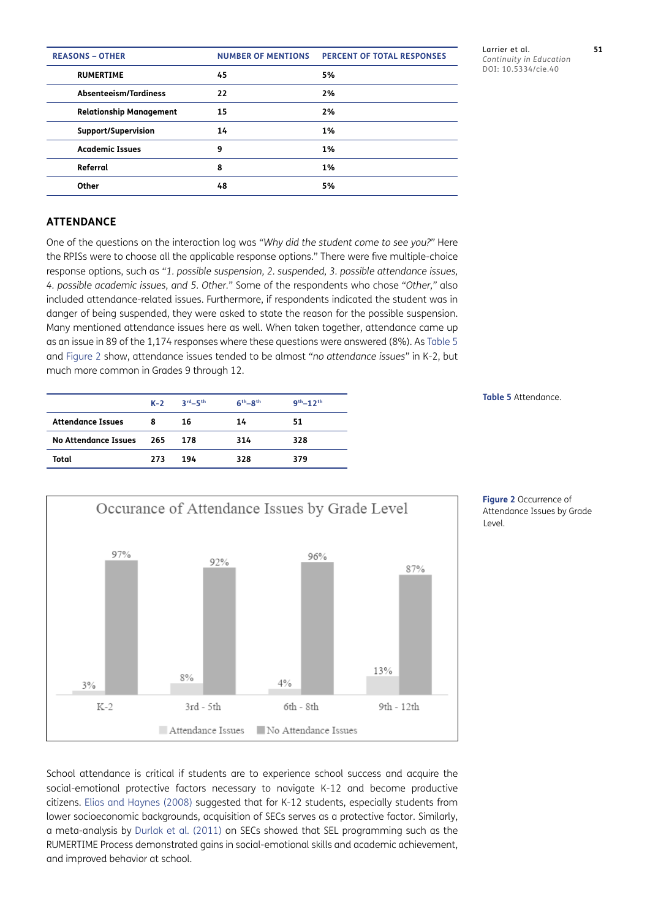| <b>REASONS - OTHER</b>         | <b>NUMBER OF MENTIONS</b> | <b>PERCENT OF TOTAL RESPONSES</b> |  |
|--------------------------------|---------------------------|-----------------------------------|--|
| <b>RUMERTIME</b>               | 45                        | 5%                                |  |
| Absenteeism/Tardiness          | 22                        | 2%                                |  |
| <b>Relationship Management</b> | 15                        | 2%                                |  |
| Support/Supervision            | 14                        | 1%                                |  |
| <b>Academic Issues</b>         | 9                         | 1%                                |  |
| Referral                       | 8                         | 1%                                |  |
| Other                          | 48                        | 5%                                |  |

Larrier et al. **51** *Continuity in Education* DOI: 10.5334/cie.40

## **ATTENDANCE**

One of the questions on the interaction log was *"Why did the student come to see you?"* Here the RPISs were to choose all the applicable response options." There were five multiple-choice response options, such as *"1. possible suspension, 2. suspended, 3. possible attendance issues, 4. possible academic issues, and 5. Other."* Some of the respondents who chose *"Other,"* also included attendance-related issues. Furthermore, if respondents indicated the student was in danger of being suspended, they were asked to state the reason for the possible suspension. Many mentioned attendance issues here as well. When taken together, attendance came up as an issue in 89 of the 1,174 responses where these questions were answered (8%). As [Table 5](#page-10-0) and [Figure 2](#page-10-1) show, attendance issues tended to be almost *"no attendance issues"* in K-2, but much more common in Grades 9 through 12.

|                          | $K-2$ | $3rd - 5th$ | $6th-8th$ | $9th - 12th$ |
|--------------------------|-------|-------------|-----------|--------------|
| <b>Attendance Issues</b> | 8     | 16          | 14        | 51           |
| No Attendance Issues     | - 265 | 178         | 314       | 328          |
| Total                    | 273   | 194         | 328       | 379          |



<span id="page-10-1"></span>**Figure 2** Occurrence of Attendance Issues by Grade Level.

<span id="page-10-0"></span>**Table 5** Attendance.

School attendance is critical if students are to experience school success and acquire the social-emotional protective factors necessary to navigate K-12 and become productive citizens. [Elias and Haynes \(2008\)](#page-15-16) suggested that for K-12 students, especially students from lower socioeconomic backgrounds, acquisition of SECs serves as a protective factor. Similarly, a meta-analysis by [Durlak et al. \(2011\)](#page-15-17) on SECs showed that SEL programming such as the RUMERTIME Process demonstrated gains in social-emotional skills and academic achievement, and improved behavior at school.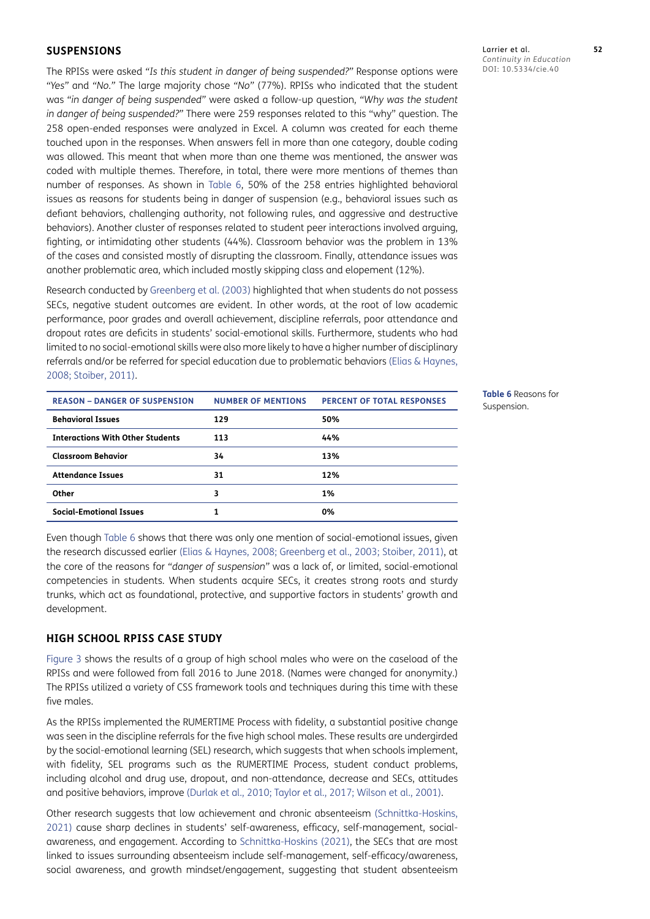#### **SUSPENSIONS**

The RPISs were asked *"Is this student in danger of being suspended?"* Response options were *"Yes"* and *"No."* The large majority chose *"No"* (77%). RPISs who indicated that the student was *"in danger of being suspended"* were asked a follow-up question, *"Why was the student in danger of being suspended?"* There were 259 responses related to this "why" question. The 258 open-ended responses were analyzed in Excel. A column was created for each theme touched upon in the responses. When answers fell in more than one category, double coding was allowed. This meant that when more than one theme was mentioned, the answer was coded with multiple themes. Therefore, in total, there were more mentions of themes than number of responses. As shown in [Table 6](#page-11-0), 50% of the 258 entries highlighted behavioral issues as reasons for students being in danger of suspension (e.g., behavioral issues such as defiant behaviors, challenging authority, not following rules, and aggressive and destructive behaviors). Another cluster of responses related to student peer interactions involved arguing, fighting, or intimidating other students (44%). Classroom behavior was the problem in 13% of the cases and consisted mostly of disrupting the classroom. Finally, attendance issues was another problematic area, which included mostly skipping class and elopement (12%).

Research conducted by Greenberg et al. (2003) highlighted that when students do not possess SECs, negative student outcomes are evident. In other words, at the root of low academic performance, poor grades and overall achievement, discipline referrals, poor attendance and dropout rates are deficits in students' social-emotional skills. Furthermore, students who had limited to no social-emotional skills were also more likely to have a higher number of disciplinary referrals and/or be referred for special education due to problematic behaviors [\(Elias & Haynes,](#page-15-16)  [2008](#page-15-16); [Stoiber, 2011\)](#page-16-9).

| <b>REASON - DANGER OF SUSPENSION</b>    | <b>NUMBER OF MENTIONS</b> | <b>PERCENT OF TOTAL RESPONSES</b> |  |
|-----------------------------------------|---------------------------|-----------------------------------|--|
| <b>Behavioral Issues</b>                | 129                       | 50%                               |  |
| <b>Interactions With Other Students</b> | 113                       | 44%                               |  |
| <b>Classroom Behavior</b>               | 34                        | 13%                               |  |
| <b>Attendance Issues</b>                | 31                        | 12%                               |  |
| Other                                   | 3                         | 1%                                |  |
| <b>Social-Emotional Issues</b>          |                           | 0%                                |  |

<span id="page-11-0"></span>**Table 6** Reasons for Suspension.

Even though [Table 6](#page-11-0) shows that there was only one mention of social-emotional issues, given the research discussed earlier [\(Elias & Haynes, 2008;](#page-15-16) Greenberg et al., 2003; [Stoiber, 2011\)](#page-16-9), at the core of the reasons for *"danger of suspension"* was a lack of, or limited, social-emotional competencies in students. When students acquire SECs, it creates strong roots and sturdy trunks, which act as foundational, protective, and supportive factors in students' growth and development.

#### **HIGH SCHOOL RPISS CASE STUDY**

[Figure 3](#page-12-0) shows the results of a group of high school males who were on the caseload of the RPISs and were followed from fall 2016 to June 2018. (Names were changed for anonymity.) The RPISs utilized a variety of CSS framework tools and techniques during this time with these five males.

As the RPISs implemented the RUMERTIME Process with fidelity, a substantial positive change was seen in the discipline referrals for the five high school males. These results are undergirded by the social-emotional learning (SEL) research, which suggests that when schools implement, with fidelity, SEL programs such as the RUMERTIME Process, student conduct problems, including alcohol and drug use, dropout, and non-attendance, decrease and SECs, attitudes and positive behaviors, improve ([Durlak et al., 2010;](#page-15-18) [Taylor et al., 2017](#page-16-10); [Wilson et al., 2001](#page-16-11)).

Other research suggests that low achievement and chronic absenteeism [\(Schnittka-Hoskins,](#page-16-3)  [2021](#page-16-3)) cause sharp declines in students' self-awareness, efficacy, self-management, socialawareness, and engagement. According to [Schnittka-Hoskins \(2021\),](#page-16-3) the SECs that are most linked to issues surrounding absenteeism include self-management, self-efficacy/awareness, social awareness, and growth mindset/engagement, suggesting that student absenteeism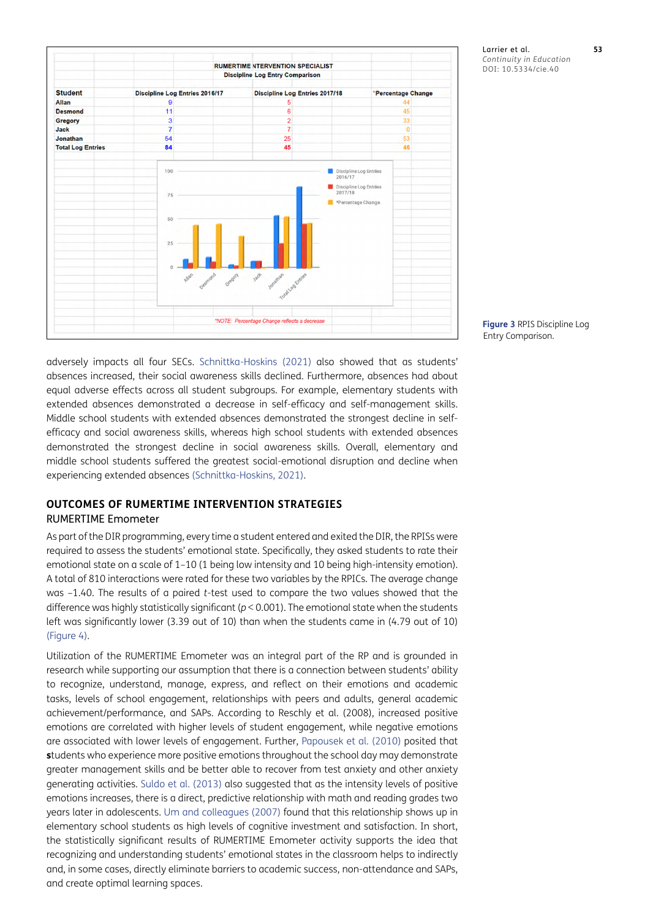

Larrier et al. **53** *Continuity in Education* DOI: 10.5334/cie.40

<span id="page-12-0"></span>**Figure 3** RPIS Discipline Log Entry Comparison.

adversely impacts all four SECs. [Schnittka-Hoskins \(2021\)](#page-16-3) also showed that as students' absences increased, their social awareness skills declined. Furthermore, absences had about equal adverse effects across all student subgroups. For example, elementary students with extended absences demonstrated a decrease in self-efficacy and self-management skills. Middle school students with extended absences demonstrated the strongest decline in selfefficacy and social awareness skills, whereas high school students with extended absences demonstrated the strongest decline in social awareness skills. Overall, elementary and middle school students suffered the greatest social-emotional disruption and decline when experiencing extended absences ([Schnittka-Hoskins, 2021](#page-16-3)).

## **OUTCOMES OF RUMERTIME INTERVENTION STRATEGIES** RUMERTIME Emometer

As part of the DIR programming, every time a student entered and exited the DIR, the RPISs were required to assess the students' emotional state. Specifically, they asked students to rate their emotional state on a scale of 1–10 (1 being low intensity and 10 being high-intensity emotion). A total of 810 interactions were rated for these two variables by the RPICs. The average change was –1.40. The results of a paired *t*-test used to compare the two values showed that the difference was highly statistically significant (*p* < 0.001). The emotional state when the students left was significantly lower (3.39 out of 10) than when the students came in (4.79 out of 10) [\(Figure 4\)](#page-13-0).

Utilization of the RUMERTIME Emometer was an integral part of the RP and is grounded in research while supporting our assumption that there is a connection between students' ability to recognize, understand, manage, express, and reflect on their emotions and academic tasks, levels of school engagement, relationships with peers and adults, general academic achievement/performance, and SAPs. According to Reschly et al. (2008), increased positive emotions are correlated with higher levels of student engagement, while negative emotions are associated with lower levels of engagement. Further, [Papousek et al. \(2010\)](#page-16-12) posited that **s**tudents who experience more positive emotions throughout the school day may demonstrate greater management skills and be better able to recover from test anxiety and other anxiety generating activities. [Suldo et al. \(2013\)](#page-16-13) also suggested that as the intensity levels of positive emotions increases, there is a direct, predictive relationship with math and reading grades two years later in adolescents. [Um and colleagues \(2007\)](#page-16-14) found that this relationship shows up in elementary school students as high levels of cognitive investment and satisfaction. In short, the statistically significant results of RUMERTIME Emometer activity supports the idea that recognizing and understanding students' emotional states in the classroom helps to indirectly and, in some cases, directly eliminate barriers to academic success, non-attendance and SAPs, and create optimal learning spaces.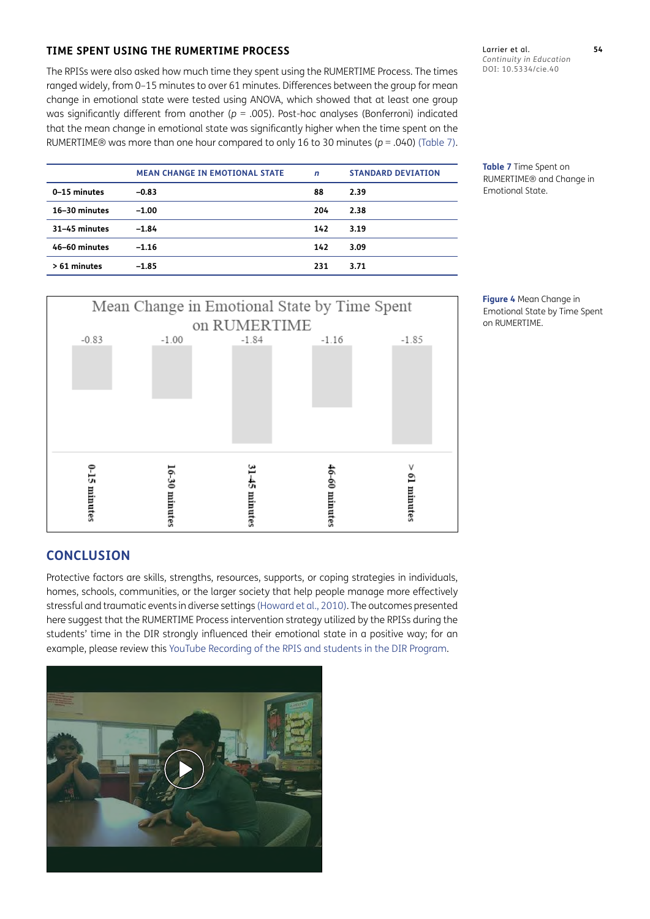## **TIME SPENT USING THE RUMERTIME PROCESS**

The RPISs were also asked how much time they spent using the RUMERTIME Process. The times ranged widely, from 0–15 minutes to over 61 minutes. Differences between the group for mean change in emotional state were tested using ANOVA, which showed that at least one group was significantly different from another ( $p = .005$ ). Post-hoc analyses (Bonferroni) indicated that the mean change in emotional state was significantly higher when the time spent on the RUMERTIME® was more than one hour compared to only 16 to 30 minutes (*p* = .040) ([Table 7](#page-13-1)).

Larrier et al. **54** *Continuity in Education* DOI: 10.5334/cie.40

<span id="page-13-1"></span>**Table 7** Time Spent on RUMERTIME® and Change in Emotional State.

|               | <b>MEAN CHANGE IN EMOTIONAL STATE</b> | $\mathsf{n}$ | <b>STANDARD DEVIATION</b> |
|---------------|---------------------------------------|--------------|---------------------------|
| 0-15 minutes  | $-0.83$                               | 88           | 2.39                      |
| 16-30 minutes | $-1.00$                               | 204          | 2.38                      |
| 31-45 minutes | $-1.84$                               | 142          | 3.19                      |
| 46-60 minutes | $-1.16$                               | 142          | 3.09                      |
| > 61 minutes  | $-1.85$                               | 231          | 3.71                      |



**CONCLUSION**

Protective factors are skills, strengths, resources, supports, or coping strategies in individuals, homes, schools, communities, or the larger society that help people manage more effectively stressful and traumatic events in diverse settings [\(Howard et al., 2010\)](#page-15-19). The outcomes presented here suggest that the RUMERTIME Process intervention strategy utilized by the RPISs during the students' time in the DIR strongly influenced their emotional state in a positive way; for an example, please review this [YouTube Recording of the RPIS and students in the DIR Program](https://youtu.be/upjp_waCgWg).



<span id="page-13-0"></span>**Figure 4** Mean Change in Emotional State by Time Spent on RUMERTIME.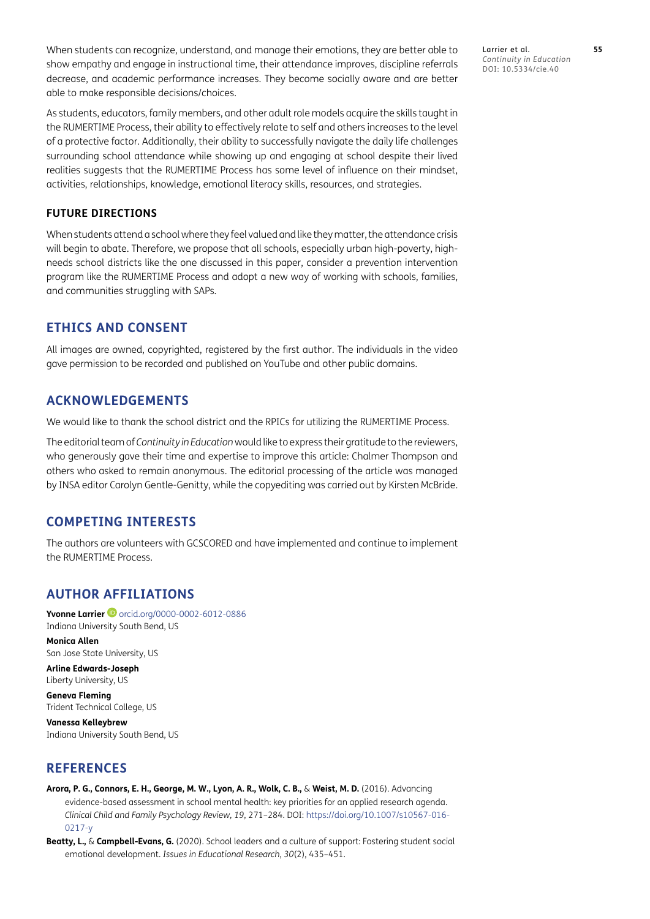When students can recognize, understand, and manage their emotions, they are better able to show empathy and engage in instructional time, their attendance improves, discipline referrals decrease, and academic performance increases. They become socially aware and are better able to make responsible decisions/choices.

As students, educators, family members, and other adult role models acquire the skills taught in the RUMERTIME Process, their ability to effectively relate to self and others increases to the level of a protective factor. Additionally, their ability to successfully navigate the daily life challenges surrounding school attendance while showing up and engaging at school despite their lived realities suggests that the RUMERTIME Process has some level of influence on their mindset, activities, relationships, knowledge, emotional literacy skills, resources, and strategies.

## **FUTURE DIRECTIONS**

When students attend a school where they feel valued and like they matter, the attendance crisis will begin to abate. Therefore, we propose that all schools, especially urban high-poverty, highneeds school districts like the one discussed in this paper, consider a prevention intervention program like the RUMERTIME Process and adopt a new way of working with schools, families, and communities struggling with SAPs.

## **ETHICS AND CONSENT**

All images are owned, copyrighted, registered by the first author. The individuals in the video gave permission to be recorded and published on YouTube and other public domains.

## **ACKNOWLEDGEMENTS**

We would like to thank the school district and the RPICs for utilizing the RUMERTIME Process.

The editorial team of *Continuity in Education* would like to express their gratitude to the reviewers, who generously gave their time and expertise to improve this article: Chalmer Thompson and others who asked to remain anonymous. The editorial processing of the article was managed by INSA editor Carolyn Gentle-Genitty, while the copyediting was carried out by Kirsten McBride.

## **COMPETING INTERESTS**

The authors are volunteers with GCSCORED and have implemented and continue to implement the RUMERTIME Process.

## <span id="page-14-0"></span>**AUTHOR AFFILIATIONS**

**Yvonne Larrier**[orcid.org/0000-0002-6012-0886](https://orcid.org/0000-0002-6012-0886) Indiana University South Bend, US

**Monica Allen** San Jose State University, US

**Arline Edwards-Joseph** Liberty University, US

**Geneva Fleming** Trident Technical College, US

**Vanessa Kelleybrew** Indiana University South Bend, US

## **REFERENCES**

<span id="page-14-1"></span>**Arora, P. G., Connors, E. H., George, M. W., Lyon, A. R., Wolk, C. B.,** & **Weist, M. D.** (2016). Advancing evidence-based assessment in school mental health: key priorities for an applied research agenda. *Clinical Child and Family Psychology Review, 19*, 271–284. DOI: [https://doi.org/10.1007/s10567-016-](https://doi.org/10.1007/s10567-016-0217-y) [0217-y](https://doi.org/10.1007/s10567-016-0217-y)

<span id="page-14-2"></span>**Beatty, L.,** & **Campbell-Evans, G.** (2020). School leaders and a culture of support: Fostering student social emotional development. *Issues in Educational Research*, *30*(2), 435–451.

Larrier et al. **55** *Continuity in Education* DOI: 10.5334/cie.40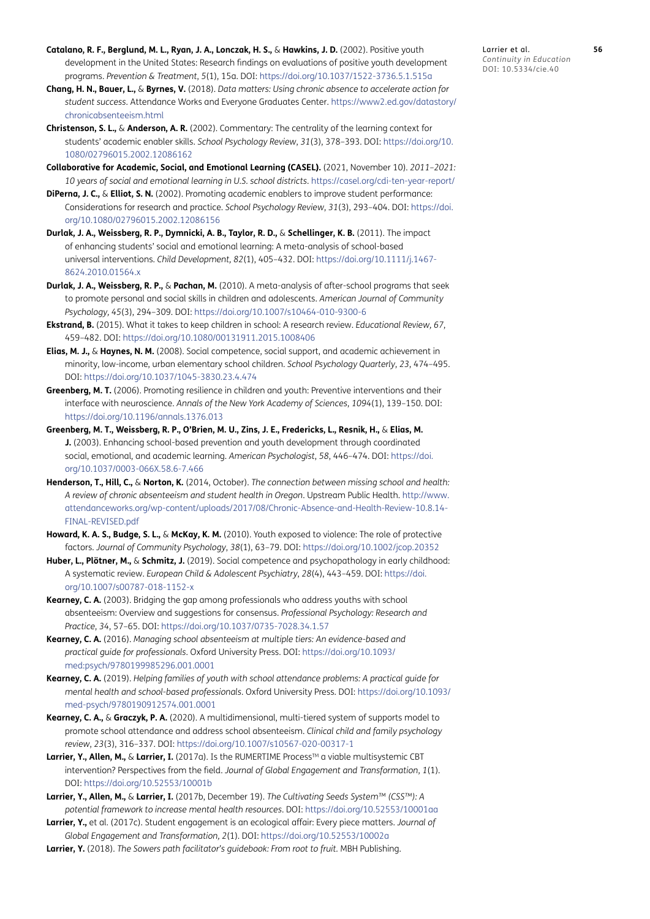- <span id="page-15-10"></span>**Catalano, R. F., Berglund, M. L., Ryan, J. A., Lonczak, H. S.,** & **Hawkins, J. D.** (2002). Positive youth development in the United States: Research findings on evaluations of positive youth development programs. *Prevention & Treatment*, *5*(1), 15a. DOI: <https://doi.org/10.1037/1522-3736.5.1.515a>
- <span id="page-15-2"></span>**Chang, H. N., Bauer, L.,** & **Byrnes, V.** (2018). *Data matters: Using chronic absence to accelerate action for student success*. Attendance Works and Everyone Graduates Center. [https://www2.ed.gov/datastory/](https://www2.ed.gov/datastory/chronicabsenteeism.html) [chronicabsenteeism.html](https://www2.ed.gov/datastory/chronicabsenteeism.html)
- <span id="page-15-8"></span>**Christenson, S. L.,** & **Anderson, A. R.** (2002). Commentary: The centrality of the learning context for students' academic enabler skills. *School Psychology Review*, *31*(3), 378–393. DOI: [https://doi.org/10.](https://doi.org/10.1080/02796015.2002.12086162) [1080/02796015.2002.12086162](https://doi.org/10.1080/02796015.2002.12086162)
- <span id="page-15-7"></span>**Collaborative for Academic, Social, and Emotional Learning (CASEL).** (2021, November 10). *2011–2021: 10 years of social and emotional learning in U.S. school districts*.<https://casel.org/cdi-ten-year-report/>
- <span id="page-15-11"></span>**DiPerna, J. C.,** & **Elliot, S. N.** (2002). Promoting academic enablers to improve student performance: Considerations for research and practice. *School Psychology Review*, *31*(3), 293–404. DOI: [https://doi.](https://doi.org/10.1080/02796015.2002.12086156) [org/10.1080/02796015.2002.12086156](https://doi.org/10.1080/02796015.2002.12086156)
- <span id="page-15-17"></span>**Durlak, J. A., Weissberg, R. P., Dymnicki, A. B., Taylor, R. D.,** & **Schellinger, K. B.** (2011). The impact of enhancing students' social and emotional learning: A meta-analysis of school-based universal interventions. *Child Development, 82*(1), 405–432. DOI: [https://doi.org/10.1111/j.1467-](https://doi.org/10.1111/j.1467-8624.2010.01564.x) [8624.2010.01564.x](https://doi.org/10.1111/j.1467-8624.2010.01564.x)
- <span id="page-15-18"></span>**Durlak, J. A., Weissberg, R. P.,** & **Pachan, M.** (2010). A meta-analysis of after-school programs that seek to promote personal and social skills in children and adolescents. *American Journal of Community Psychology, 45*(3), 294–309. DOI:<https://doi.org/10.1007/s10464-010-9300-6>
- <span id="page-15-3"></span>**Ekstrand, B.** (2015). What it takes to keep children in school: A research review. *Educational Review, 67*, 459–482. DOI: <https://doi.org/10.1080/00131911.2015.1008406>
- <span id="page-15-16"></span>**Elias, M. J.,** & **Haynes, N. M.** (2008). Social competence, social support, and academic achievement in minority, low-income, urban elementary school children. *School Psychology Quarterly*, *23*, 474–495. DOI:<https://doi.org/10.1037/1045-3830.23.4.474>
- <span id="page-15-13"></span>**Greenberg, M. T.** (2006). Promoting resilience in children and youth: Preventive interventions and their interface with neuroscience. *Annals of the New York Academy of Sciences*, *1094*(1), 139–150. DOI: <https://doi.org/10.1196/annals.1376.013>
- **Greenberg, M. T., Weissberg, R. P., O'Brien, M. U., Zins, J. E., Fredericks, L., Resnik, H.,** & **Elias, M. J.** (2003). Enhancing school-based prevention and youth development through coordinated social, emotional, and academic learning. *American Psychologist*, *58*, 446–474. DOI: [https://doi.](https://doi.org/10.1037/0003-066X.58.6-7.466) [org/10.1037/0003-066X.58.6-7.466](https://doi.org/10.1037/0003-066X.58.6-7.466)
- <span id="page-15-0"></span>**Henderson, T., Hill, C.,** & **Norton, K.** (2014, October). *The connection between missing school and health: A review of chronic absenteeism and student health in Oregon*. Upstream Public Health. [http://www.](http://www.attendanceworks.org/wp-content/uploads/2017/08/Chronic-Absence-and-Health-Review-10.8.14-FINAL-REVISED.pdf) [attendanceworks.org/wp-content/uploads/2017/08/Chronic-Absence-and-Health-Review-10.8.14-](http://www.attendanceworks.org/wp-content/uploads/2017/08/Chronic-Absence-and-Health-Review-10.8.14-FINAL-REVISED.pdf) [FINAL-REVISED.pdf](http://www.attendanceworks.org/wp-content/uploads/2017/08/Chronic-Absence-and-Health-Review-10.8.14-FINAL-REVISED.pdf)
- <span id="page-15-19"></span>**Howard, K. A. S., Budge, S. L.,** & **McKay, K. M.** (2010). Youth exposed to violence: The role of protective factors. *Journal of Community Psychology*, *38*(1), 63–79. DOI: <https://doi.org/10.1002/jcop.20352>
- **Huber, L., Plötner, M.,** & **Schmitz, J.** (2019). Social competence and psychopathology in early childhood: A systematic review. *European Child & Adolescent Psychiatry*, *28*(4), 443–459. DOI: [https://doi.](https://doi.org/10.1007/s00787-018-1152-x) [org/10.1007/s00787-018-1152-x](https://doi.org/10.1007/s00787-018-1152-x)
- <span id="page-15-4"></span>**Kearney, C. A.** (2003). Bridging the gap among professionals who address youths with school absenteeism: Overview and suggestions for consensus. *Professional Psychology: Research and Practice*, *34*, 57–65. DOI: <https://doi.org/10.1037/0735-7028.34.1.57>
- <span id="page-15-5"></span>**Kearney, C. A.** (2016). *Managing school absenteeism at multiple tiers: An evidence-based and practical guide for professionals*. Oxford University Press. DOI: [https://doi.org/10.1093/](https://doi.org/10.1093/med:psych/9780199985296.001.0001) [med:psych/9780199985296.001.0001](https://doi.org/10.1093/med:psych/9780199985296.001.0001)
- <span id="page-15-6"></span>**Kearney, C. A.** (2019). *Helping families of youth with school attendance problems: A practical guide for mental health and school-based professionals*. Oxford University Press. DOI: [https://doi.org/10.1093/](https://doi.org/10.1093/med-psych/9780190912574.001.0001) [med-psych/9780190912574.001.0001](https://doi.org/10.1093/med-psych/9780190912574.001.0001)
- <span id="page-15-1"></span>**Kearney, C. A.,** & **Graczyk, P. A.** (2020). A multidimensional, multi-tiered system of supports model to promote school attendance and address school absenteeism. *Clinical child and family psychology review*, *23*(3), 316–337. DOI:<https://doi.org/10.1007/s10567-020-00317-1>
- <span id="page-15-9"></span>Larrier, Y., Allen, M., & Larrier, I. (2017a). Is the RUMERTIME Process™ a viable multisystemic CBT intervention? Perspectives from the field. *Journal of Global Engagement and Transformation*, *1*(1). DOI:<https://doi.org/10.52553/10001b>
- <span id="page-15-12"></span>**Larrier, Y., Allen, M.,** & **Larrier, I.** (2017b, December 19). *The Cultivating Seeds System™ (CSS™): A potential framework to increase mental health resources*. DOI: <https://doi.org/10.52553/10001aa>
- <span id="page-15-14"></span>**Larrier, Y.,** et al. (2017c). Student engagement is an ecological affair: Every piece matters. *Journal of Global Engagement and Transformation, 2*(1)*.* DOI:<https://doi.org/10.52553/10002a>
- <span id="page-15-15"></span>**Larrier, Y.** (2018). *The Sowers path facilitator's guidebook: From root to fruit.* MBH Publishing.

Larrier et al. **56** *Continuity in Education* DOI: 10.5334/cie.40